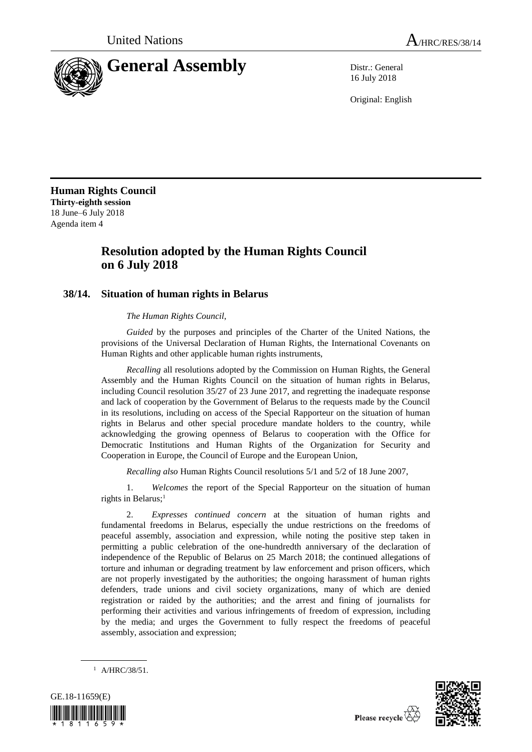

16 July 2018

Original: English

**Human Rights Council Thirty-eighth session** 18 June–6 July 2018 Agenda item 4

## **Resolution adopted by the Human Rights Council on 6 July 2018**

## **38/14. Situation of human rights in Belarus**

*The Human Rights Council*,

*Guided* by the purposes and principles of the Charter of the United Nations, the provisions of the Universal Declaration of Human Rights, the International Covenants on Human Rights and other applicable human rights instruments,

*Recalling* all resolutions adopted by the Commission on Human Rights, the General Assembly and the Human Rights Council on the situation of human rights in Belarus, including Council resolution 35/27 of 23 June 2017, and regretting the inadequate response and lack of cooperation by the Government of Belarus to the requests made by the Council in its resolutions, including on access of the Special Rapporteur on the situation of human rights in Belarus and other special procedure mandate holders to the country, while acknowledging the growing openness of Belarus to cooperation with the Office for Democratic Institutions and Human Rights of the Organization for Security and Cooperation in Europe, the Council of Europe and the European Union,

*Recalling also* Human Rights Council resolutions 5/1 and 5/2 of 18 June 2007,

1. *Welcomes* the report of the Special Rapporteur on the situation of human rights in Belarus;<sup>1</sup>

2. *Expresses continued concern* at the situation of human rights and fundamental freedoms in Belarus, especially the undue restrictions on the freedoms of peaceful assembly, association and expression, while noting the positive step taken in permitting a public celebration of the one-hundredth anniversary of the declaration of independence of the Republic of Belarus on 25 March 2018; the continued allegations of torture and inhuman or degrading treatment by law enforcement and prison officers, which are not properly investigated by the authorities; the ongoing harassment of human rights defenders, trade unions and civil society organizations, many of which are denied registration or raided by the authorities; and the arrest and fining of journalists for performing their activities and various infringements of freedom of expression, including by the media; and urges the Government to fully respect the freedoms of peaceful assembly, association and expression;





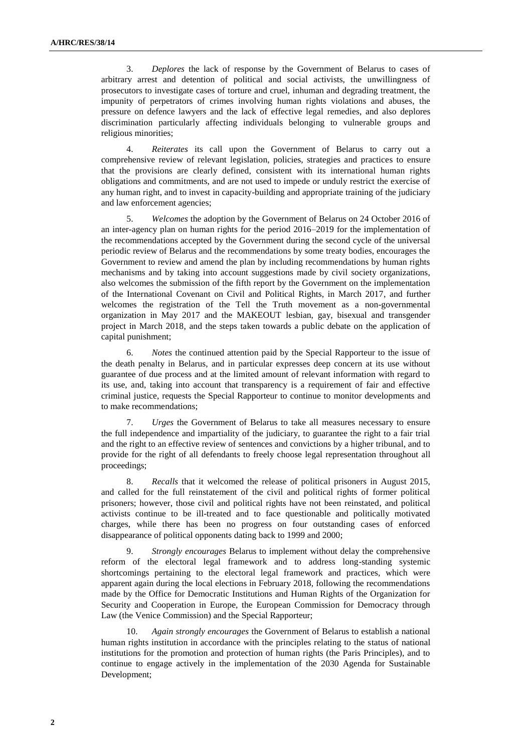3. *Deplores* the lack of response by the Government of Belarus to cases of arbitrary arrest and detention of political and social activists, the unwillingness of prosecutors to investigate cases of torture and cruel, inhuman and degrading treatment, the impunity of perpetrators of crimes involving human rights violations and abuses, the pressure on defence lawyers and the lack of effective legal remedies, and also deplores discrimination particularly affecting individuals belonging to vulnerable groups and religious minorities;

4. *Reiterates* its call upon the Government of Belarus to carry out a comprehensive review of relevant legislation, policies, strategies and practices to ensure that the provisions are clearly defined, consistent with its international human rights obligations and commitments, and are not used to impede or unduly restrict the exercise of any human right, and to invest in capacity-building and appropriate training of the judiciary and law enforcement agencies;

5. *Welcomes* the adoption by the Government of Belarus on 24 October 2016 of an inter-agency plan on human rights for the period 2016–2019 for the implementation of the recommendations accepted by the Government during the second cycle of the universal periodic review of Belarus and the recommendations by some treaty bodies, encourages the Government to review and amend the plan by including recommendations by human rights mechanisms and by taking into account suggestions made by civil society organizations, also welcomes the submission of the fifth report by the Government on the implementation of the International Covenant on Civil and Political Rights, in March 2017, and further welcomes the registration of the Tell the Truth movement as a non-governmental organization in May 2017 and the MAKEOUT lesbian, gay, bisexual and transgender project in March 2018, and the steps taken towards a public debate on the application of capital punishment;

6. *Notes* the continued attention paid by the Special Rapporteur to the issue of the death penalty in Belarus, and in particular expresses deep concern at its use without guarantee of due process and at the limited amount of relevant information with regard to its use, and, taking into account that transparency is a requirement of fair and effective criminal justice, requests the Special Rapporteur to continue to monitor developments and to make recommendations;

7. *Urges* the Government of Belarus to take all measures necessary to ensure the full independence and impartiality of the judiciary, to guarantee the right to a fair trial and the right to an effective review of sentences and convictions by a higher tribunal, and to provide for the right of all defendants to freely choose legal representation throughout all proceedings;

8. *Recalls* that it welcomed the release of political prisoners in August 2015, and called for the full reinstatement of the civil and political rights of former political prisoners; however, those civil and political rights have not been reinstated, and political activists continue to be ill-treated and to face questionable and politically motivated charges, while there has been no progress on four outstanding cases of enforced disappearance of political opponents dating back to 1999 and 2000;

9. *Strongly encourages* Belarus to implement without delay the comprehensive reform of the electoral legal framework and to address long-standing systemic shortcomings pertaining to the electoral legal framework and practices, which were apparent again during the local elections in February 2018, following the recommendations made by the Office for Democratic Institutions and Human Rights of the Organization for Security and Cooperation in Europe, the European Commission for Democracy through Law (the Venice Commission) and the Special Rapporteur;

10. *Again strongly encourages* the Government of Belarus to establish a national human rights institution in accordance with the principles relating to the status of national institutions for the promotion and protection of human rights (the Paris Principles), and to continue to engage actively in the implementation of the 2030 Agenda for Sustainable Development;